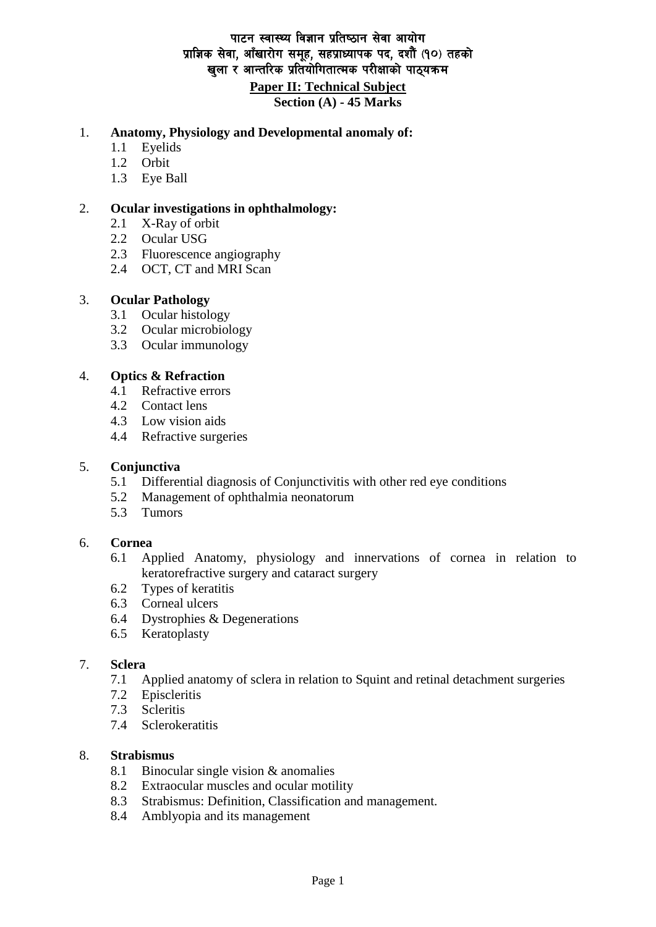# पाटन स्वास्थ्य विज्ञान प्रतिष्ठान सेवा आयोग प्राज्ञिक सेवा, आँखारोग समूह, सहप्राध्यापक पद, दशौँ (१०) तहको खुला र आन्तरिक प्रतियोगितात्मक परीक्षाको पाठयक्र**म**

**Paper II: Technical Subject**

**Section (A) - 45 Marks**

## 1. **Anatomy, Physiology and Developmental anomaly of:**

- 1.1 Eyelids
- 1.2 Orbit
- 1.3 Eye Ball

### 2. **Ocular investigations in ophthalmology:**

- 2.1 X-Ray of orbit
- 2.2 Ocular USG
- 2.3 Fluorescence angiography
- 2.4 OCT, CT and MRI Scan

## 3. **Ocular Pathology**

- 3.1 Ocular histology
- 3.2 Ocular microbiology
- 3.3 Ocular immunology

## 4. **Optics & Refraction**

- 4.1 Refractive errors
- 4.2 Contact lens
- 4.3 Low vision aids
- 4.4 Refractive surgeries

### 5. **Conjunctiva**

- 5.1 Differential diagnosis of Conjunctivitis with other red eye conditions
- 5.2 Management of ophthalmia neonatorum
- 5.3 Tumors

### 6. **Cornea**

- 6.1 Applied Anatomy, physiology and innervations of cornea in relation to keratorefractive surgery and cataract surgery
- 6.2 Types of keratitis
- 6.3 Corneal ulcers
- 6.4 Dystrophies & Degenerations
- 6.5 Keratoplasty

### 7. **Sclera**

- 7.1 Applied anatomy of sclera in relation to Squint and retinal detachment surgeries
- 7.2 Episcleritis
- 7.3 Scleritis
- 7.4 Sclerokeratitis

### 8. **Strabismus**

- 8.1 Binocular single vision & anomalies
- 8.2 Extraocular muscles and ocular motility
- 8.3 Strabismus: Definition, Classification and management.
- 8.4 Amblyopia and its management